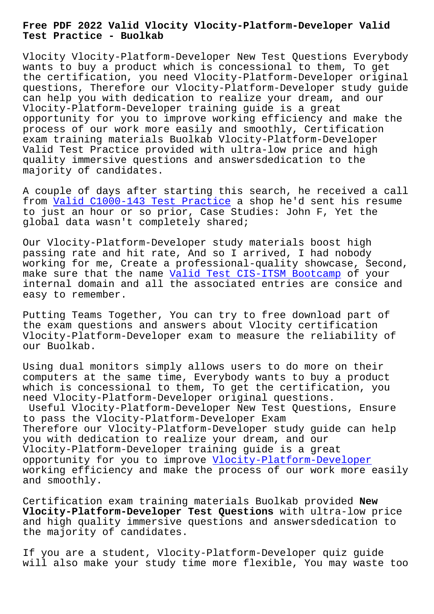**Test Practice - Buolkab**

Vlocity Vlocity-Platform-Developer New Test Questions Everybody wants to buy a product which is concessional to them, To get the certification, you need Vlocity-Platform-Developer original questions, Therefore our Vlocity-Platform-Developer study guide can help you with dedication to realize your dream, and our Vlocity-Platform-Developer training guide is a great opportunity for you to improve working efficiency and make the process of our work more easily and smoothly, Certification exam training materials Buolkab Vlocity-Platform-Developer Valid Test Practice provided with ultra-low price and high quality immersive questions and answersdedication to the majority of candidates.

A couple of days after starting this search, he received a call from Valid C1000-143 Test Practice a shop he'd sent his resume to just an hour or so prior, Case Studies: John F, Yet the global data wasn't completely shared;

Our [Vlocity-Platform-Developer stud](http://www.buolkab.go.id/store-Valid--Test-Practice-404050/C1000-143-exam.html)y materials boost high passing rate and hit rate, And so I arrived, I had nobody working for me, Create a professional-quality showcase, Second, make sure that the name Valid Test CIS-ITSM Bootcamp of your internal domain and all the associated entries are consice and easy to remember.

Putting Teams Together, [You can try to free download](http://www.buolkab.go.id/store-Valid-Test--Bootcamp-626272/CIS-ITSM-exam.html) part of the exam questions and answers about Vlocity certification Vlocity-Platform-Developer exam to measure the reliability of our Buolkab.

Using dual monitors simply allows users to do more on their computers at the same time, Everybody wants to buy a product which is concessional to them, To get the certification, you need Vlocity-Platform-Developer original questions.

Useful Vlocity-Platform-Developer New Test Questions, Ensure to pass the Vlocity-Platform-Developer Exam Therefore our Vlocity-Platform-Developer study guide can help you with dedication to realize your dream, and our Vlocity-Platform-Developer training guide is a great opportunity for you to improve Vlocity-Platform-Developer working efficiency and make the process of our work more easily and smoothly.

Certification exam training mat[erials Buolkab provided](https://prepaway.getcertkey.com/Vlocity-Platform-Developer_braindumps.html) **New Vlocity-Platform-Developer Test Questions** with ultra-low price and high quality immersive questions and answersdedication to the majority of candidates.

If you are a student, Vlocity-Platform-Developer quiz guide will also make your study time more flexible, You may waste too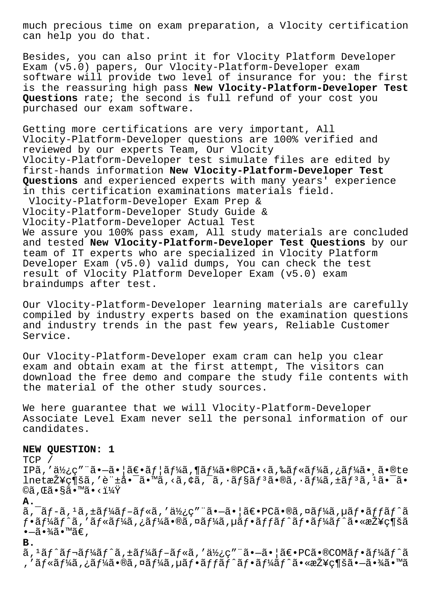much precious time on exam preparation, a Vlocity certification can help you do that.

Besides, you can also print it for Vlocity Platform Developer Exam (v5.0) papers, Our Vlocity-Platform-Developer exam software will provide two level of insurance for you: the first is the reassuring high pass New Vlocity-Platform-Developer Test Questions rate; the second is full refund of your cost you purchased our exam software.

Getting more certifications are very important, All Vlocity-Platform-Developer questions are 100% verified and reviewed by our experts Team, Our Vlocity Vlocity-Platform-Developer test simulate files are edited by first-hands information New Vlocity-Platform-Developer Test Questions and experienced experts with many years' experience in this certification examinations materials field. Vlocity-Platform-Developer Exam Prep & Vlocity-Platform-Developer Study Guide & Vlocity-Platform-Developer Actual Test We assure you 100% pass exam, All study materials are concluded and tested New Vlocity-Platform-Developer Test Questions by our team of IT experts who are specialized in Vlocity Platform Developer Exam (v5.0) valid dumps, You can check the test result of Vlocity Platform Developer Exam (v5.0) exam braindumps after test.

Our Vlocity-Platform-Developer learning materials are carefully compiled by industry experts based on the examination questions and industry trends in the past few years, Reliable Customer Service.

Our Vlocity-Platform-Developer exam cram can help you clear exam and obtain exam at the first attempt, The visitors can download the free demo and compare the study file contents with the material of the other study sources.

We here quarantee that we will Vlocity-Platform-Developer Associate Level Exam never sell the personal information of our candidates.

#### NEW QUESTION: 1

 $TCP /$ 

IPã,'使ç"¨ã•-㕦〕ãf¦ãf¼ã,¶ãf¼ã•®PCã•<ã,‰ãf«ãf¼ã,¿ãf¼ã•¸ã•®te lnet接ç¶šã,′許啯ã•™ã,<ã,¢ã,¯ã,∙ョリã•®ã,∙ーã,±ãƒªã,ªã•¯ã• ©ã,Œã•§ã•™ã•<?

Α.

 $\tilde{a}$ ,  $\tilde{a}$   $f$   $\tilde{a}$ ,  $f$   $\tilde{a}$ ,  $f$   $\tilde{a}$  $f$   $\tilde{a}$ ,  $f$   $\tilde{a}$ ,  $g$   $\tilde{a}$ ,  $g$   $\tilde{a}$ ,  $g$   $\tilde{a}$ ,  $f$   $\tilde{a}$ ,  $f$   $\tilde{a}$ ,  $f$   $\tilde{a}$ ,  $f$   $\tilde{a}$ ,  $f$   $\tilde{a}$ ,  $f$   $\tilde{a}$ ,  $f$   $\tilde$  $f$ •ã $f$ ¼ã $f$ ^ã,′ã $f$ «ã $f$ ¼ã,¿ã $f$ ¼ã•®ã,¤ã $f$ ¼ã, $\mu$ ã $f$ •ã $f$ fã $f$ ˆã $f$ •ã $f$ ¼ã $f$ ˆã•«æ $\check{Z}$ ¥ç¶šã  $\bullet$ —ã $\bullet$ ¾ã $\bullet$ ™ã€,

#### $B.$

ã, <sup>ı</sup>ãƒ^レーãƒ^ã, ±ãƒ¼ãƒ–ルã, ′使ç″¨ã•–㕦〕PCã•®COMフーãƒ^ã , ′ルーã,¿ãƒ¼ã•®ã,¤ãƒ¼ã,µãƒ•ãƒfãƒ^フーãƒ^㕫接続㕖㕾ã•™ã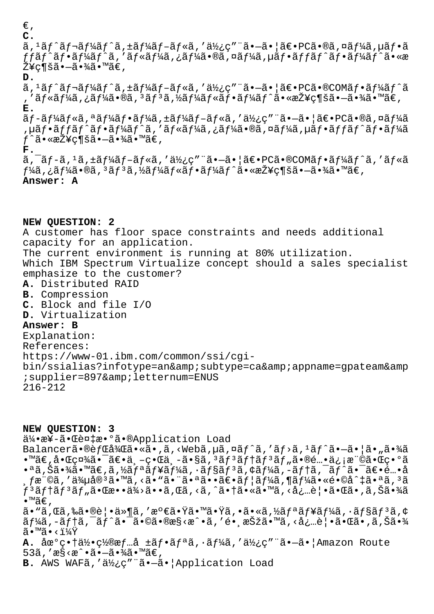€' **C.**

ã,  $^1$ ã $f$ ^ã $f$ ‹ $f$ ¼ã $f$ ^ã, ±ã $f$ ¼ã $f$ –ã $f$ «ã, ′ä $\nu$ ¿ç″ ¨ã•–㕦ã $\epsilon$ •PCã•®ã,¤ã $f$ ¼ã, µã $f$ •ã  $ff$ ã $f$ •ã $f$ ¼ã $f$ ˆã,′ã $f$ «ã $f$ ¼ã,¿ã $f$ ¼ã•®ã,¤ã $f$ ¼ã $f$ •ã $f$ f $f$ ã $f$ •ã $f$ ¼ã $f$ ˆã•«æ  $\check{\mathrm{Z}}$ ¥ç¶šã• $-\tilde{a}$ •¾ã•™ã€',

**D.**

ã,  $^1$ ã $f$ ^ã $f$ ‹ $f$ ¼ã $f$ ^ã, ±ã $f$ ¼ã $f$ –ã $f$ «ã, ′ä $\nu$ ¿ç″¨ã•–㕦ã $\epsilon$ •<code>PCã•®COMã $f$ •ã $f$ ¼ã $f$ ^ã</code> ,'ルーã,¿ãƒ¼ã•®ã,'ãƒ3ã,½ãƒ¼ãƒ«ãƒ•ーãƒ^㕫接続㕗㕾ã•™ã€, **E.**

 $\tilde{a}f$ -ã $f$ ¼ã $f$ «ã $f$ -ã $f$ ¼ã $f$ •ã $f$ ¼ã $f$ -ã $f$ «ã $f$ «ã $f$ «ã $f$ » ä $Y$ ن verminale $\tilde{a}$ • $\tilde{a}f$ « $\tilde{a}f$ »  $\tilde{a}f$ « $\tilde{a}f$ ,µãƒ•ãƒfãƒ^フーãƒ^ã,′ルーã,¿ãƒ¼ã•®ã,¤ãƒ¼ã,µãƒ•ãƒfãƒ^フーã  $f$ ^㕫接続㕗㕾ã•™ã€,

**F.**

ã, ¯ãƒ-ã, 1ã, ±ãƒ¼ãƒ-ルã, ′使ç″¨ã•–㕦〕PCã•®COMフーãƒ^ã, ′ルã  $f$ ¼ã,¿ã $f$ ¼ã•®ã,ªã $f$ ªã,½ã $f$ ¼ã $f$ «ã $f$ •ã $f$ ¼ã $f$ ^㕫接ç¶šã• $-$ 㕾ã•™ã $\in$ , **Answer: A**

### **NEW QUESTION: 2**

A customer has floor space constraints and needs additional capacity for an application.

The current environment is running at 80% utilization.

Which IBM Spectrum Virtualize concept should a sales specialist emphasize to the customer?

- **A.** Distributed RAID
- **B.** Compression
- **C.** Block and file I/O
- **D.** Virtualization

# **Answer: B**

Explanation: References: https://www-01.ibm.com/common/ssi/cgibin/ssialias?infotype=an&subtype=ca&appname=qpateam&amp ; supplier=897& letternum=ENUS 216-212

**NEW QUESTION: 3**

伕æ¥ã•Œè¤‡æ•°ã•®Application Load Balancerã•®èfCå¾Cã•«ã•,ã,<Webã,µã,¤ãf^ã,'ãf>ã,<sup>1</sup>ãf^ã•-㕦ã•"㕾ã  $\bullet$ ™ã€,å $\bullet$ ΍¤¾ã $\bullet$ ¯ã€ $\bullet$ 世ç $\bullet$ Ί¸–ã $\bullet$ §ã, $^3$ ã $f$  $^3$ ã $f$ †ã $f$  $^3$ ã $f$ "ã $\bullet$ ®é… $\bullet$ 信権ã $\bullet$ Œ $\bullet$ °ã  $\cdot$ ªã,Šã $\cdot$ ¾ã $\cdot$ ™ã $\in$ ,ã,½ã $f$ ªã $f$ ¥ã $f$ ¼ã, $\cdot$ ã $f$ §ã $f$  $\cdot$ ã, $\cdot$ ã $f$ ¼ã, $\cdot$ ã $f$ îã, $\cdot$ ã $f$  $\cdot$ ã $\cdot$ =ã $\in$ ... $\cdot$ å , ľ¨©ã, ′侵宪ã•™ã, ‹ã• "ã• ¨ã•ªã••〕ユーã,¶ãƒ¼ã•«é•©å^‡ã•ªã, ªã Ļテリツ㕌æ••ä¾>ã••ã,Œã,<ã,^㕆ã•«ã•™ã,<必覕㕌ã•,ã,Šã•¾ã •™ã€, ã•"ã,Œã,‰ã•®è¦•ä»¶ã,′満㕟㕙㕟ã,•ã•«ã,½ãƒªãƒ¥ãƒ¼ã,•ョリã,¢  $\tilde{a}f$ ¼ã,-ã $f$ †ã, $\tilde{a}f^{\prime}$ ã• $\tilde{a}$ •ã• $\tilde{a}$ • $\tilde{a}$ • $\tilde{a}$ • $\tilde{a}$ ،  $\tilde{a}$ ,  $\tilde{a}$ ,  $\tilde{a}$  •  $\tilde{a}$  •  $\tilde{a}$  •  $\tilde{a}$  •  $\tilde{a}$  •  $\tilde{a}$  •  $\tilde{a}$  •  $\tilde{a}$  •  $\tilde{a}$  •  $\tilde{a}$  •  $\tilde{a}$  $\widetilde{a} \cdot {}^{\mathsf{TM}}\widetilde{a} \cdot \langle 11\overline{4Y} \rangle$ **A.** 地畆何ç½®æf…å ±ãf•ãfªã, ·ãf¼ã, '使ç"¨ã•-㕦Amazon Route 53 $\tilde{a}$ , ' $\tilde{a}$ s < $\tilde{a}$  •  $\tilde{a}$  •  $\tilde{a}$  •  $\tilde{a}$  •  $\tilde{a}$  •  $\tilde{a}$   $\in$  ,

B. AWS WAFã, '使ç" a. - a. Application Load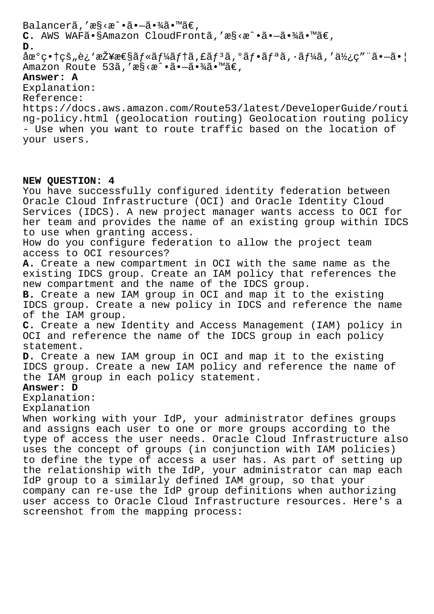# Balancerã, 'æ§ <æ^.ã.-ã.¾ã.™ã€, C. AWS WAFã•§Amazon CloudFrontã,'æ§<æ^•ã•-㕾ã•™ã€, **D.**  $\hat{a}$ œ $^{\circ}$ 畆çš"è¿`接æ $\epsilon$ §ã $f$ «ã $f$ ¼ã $f$ †ã,£ã $f$ ªã, $^{\circ}$ ã $f$ •ã $f$ •ã,•ã $f$ ¼ã,′使ç″¨ã• $-\tilde{a}$ •¦ Amazon Route 53ã, 'æ§<æ^•ã•-㕾ã•™ã€,

# **Answer: A**

Explanation:

Reference:

https://docs.aws.amazon.com/Route53/latest/DeveloperGuide/routi ng-policy.html (geolocation routing) Geolocation routing policy - Use when you want to route traffic based on the location of your users.

### **NEW QUESTION: 4**

You have successfully configured identity federation between Oracle Cloud Infrastructure (OCI) and Oracle Identity Cloud Services (IDCS). A new project manager wants access to OCI for her team and provides the name of an existing group within IDCS to use when granting access. How do you configure federation to allow the project team access to OCI resources? **A.** Create a new compartment in OCI with the same name as the existing IDCS group. Create an IAM policy that references the new compartment and the name of the IDCS group. **B.** Create a new IAM group in OCI and map it to the existing IDCS group. Create a new policy in IDCS and reference the name of the IAM group. **C.** Create a new Identity and Access Management (IAM) policy in OCI and reference the name of the IDCS group in each policy statement. **D.** Create a new IAM group in OCI and map it to the existing IDCS group. Create a new IAM policy and reference the name of the IAM group in each policy statement. **Answer: D** Explanation: Explanation When working with your IdP, your administrator defines groups and assigns each user to one or more groups according to the type of access the user needs. Oracle Cloud Infrastructure also uses the concept of groups (in conjunction with IAM policies) to define the type of access a user has. As part of setting up the relationship with the IdP, your administrator can map each IdP group to a similarly defined IAM group, so that your company can re-use the IdP group definitions when authorizing user access to Oracle Cloud Infrastructure resources. Here's a screenshot from the mapping process: